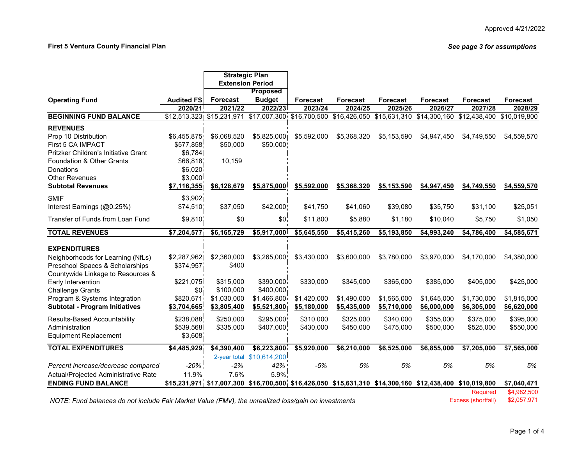#### **First 5 Ventura County Financial Plan**

*See page 3 for assumptions*

|                                               |                               |                           | <b>Strategic Plan</b>   |                 |                 |                                                                         |                           |                 |              |
|-----------------------------------------------|-------------------------------|---------------------------|-------------------------|-----------------|-----------------|-------------------------------------------------------------------------|---------------------------|-----------------|--------------|
|                                               |                               |                           | <b>Extension Period</b> |                 |                 |                                                                         |                           |                 |              |
|                                               |                               |                           | <b>Proposed</b>         |                 |                 |                                                                         |                           |                 |              |
| <b>Operating Fund</b>                         | <b>Audited FS</b>             | <b>Forecast</b>           | <b>Budget</b>           | <b>Forecast</b> | <b>Forecast</b> | <b>Forecast</b>                                                         | <b>Forecast</b>           | <b>Forecast</b> | Forecast     |
|                                               | 2020/21                       | 2021/22                   | 2022/23                 | 2023/24         | 2024/25         | 2025/26                                                                 | 2026/27                   | 2027/28         | 2028/29      |
| <b>BEGINNING FUND BALANCE</b>                 |                               | \$12,513,323 \$15,231,971 | \$17,007,300            | \$16,700,500    | \$16,426,050    |                                                                         | \$15,631,310 \$14,300,160 | \$12,438,400    | \$10,019,800 |
| <b>REVENUES</b>                               |                               |                           |                         |                 |                 |                                                                         |                           |                 |              |
| Prop 10 Distribution                          | \$6,455,875                   | \$6,068,520               | \$5,825,000             | \$5,592,000     | \$5,368,320     | \$5,153,590                                                             | \$4,947,450               | \$4,749,550     | \$4,559,570  |
| First 5 CA IMPACT                             | \$577,858                     | \$50,000                  | \$50,000                |                 |                 |                                                                         |                           |                 |              |
| Pritzker Children's Initiative Grant          | \$6,784                       |                           |                         |                 |                 |                                                                         |                           |                 |              |
| Foundation & Other Grants                     | \$66,818                      | 10,159                    |                         |                 |                 |                                                                         |                           |                 |              |
| Donations                                     | \$6,020                       |                           |                         |                 |                 |                                                                         |                           |                 |              |
| <b>Other Revenues</b>                         | \$3,000                       |                           |                         |                 |                 |                                                                         |                           |                 |              |
| <b>Subtotal Revenues</b>                      | \$7,116,355                   | \$6,128,679               | \$5,875,000             | \$5,592,000     | \$5,368,320     | \$5,153,590                                                             | \$4,947,450               | \$4,749,550     | \$4,559,570  |
| <b>SMIF</b>                                   | \$3,902]                      |                           |                         |                 |                 |                                                                         |                           |                 |              |
| Interest Earnings (@0.25%)                    | \$74,510                      | \$37,050                  | \$42,000!               | \$41,750        | \$41,060        | \$39,080                                                                | \$35,750                  | \$31,100        | \$25,051     |
| Transfer of Funds from Loan Fund              | \$9,810                       | \$0                       | \$0                     | \$11,800        | \$5,880         | \$1,180                                                                 | \$10,040                  | \$5,750         | \$1,050      |
| <b>TOTAL REVENUES</b>                         | \$7,204,577                   | \$6,165,729               | \$5,917,000             | \$5,645,550     | \$5,415,260     | \$5,193,850                                                             | \$4,993,240               | \$4,786,400     | \$4,585,671  |
|                                               |                               |                           |                         |                 |                 |                                                                         |                           |                 |              |
| <b>EXPENDITURES</b>                           |                               |                           |                         |                 |                 |                                                                         |                           |                 |              |
| Neighborhoods for Learning (NfLs)             | \$2,287,962                   | \$2,360,000               | \$3,265,000             | \$3,430,000     | \$3,600,000     | \$3.780.000                                                             | \$3.970.000               | \$4.170.000     | \$4,380,000  |
| Preschool Spaces & Scholarships               | \$374,957                     | \$400                     |                         |                 |                 |                                                                         |                           |                 |              |
| Countywide Linkage to Resources &             |                               | \$315,000                 | \$390,000               | \$330,000       | \$345,000       |                                                                         |                           | \$405,000       | \$425,000    |
| Early Intervention<br><b>Challenge Grants</b> | \$221,075<br>\$0 <sub>1</sub> | \$100,000                 | \$400,000               |                 |                 | \$365,000                                                               | \$385,000                 |                 |              |
| Program & Systems Integration                 | \$820,671                     | \$1,030,000               | \$1,466,800             | \$1,420,000     | \$1,490,000     | \$1,565,000                                                             | \$1,645,000               | \$1,730,000     | \$1,815,000  |
| <b>Subtotal - Program Initiatives</b>         | \$3,704,665                   | \$3,805,400               | \$5,521,800             | \$5,180,000     | \$5,435,000     | \$5,710,000                                                             | \$6,000,000               | \$6,305,000     | \$6,620,000  |
|                                               |                               |                           |                         |                 |                 |                                                                         |                           |                 |              |
| Results-Based Accountability                  | \$238,088                     | \$250,000                 | \$295,000               | \$310,000       | \$325,000       | \$340,000                                                               | \$355,000                 | \$375,000       | \$395,000    |
| Administration                                | \$539,568                     | \$335,000                 | \$407,000               | \$430,000       | \$450,000       | \$475,000                                                               | \$500,000                 | \$525,000       | \$550,000    |
| <b>Equipment Replacement</b>                  | \$3,608                       |                           |                         |                 |                 |                                                                         |                           |                 |              |
| <b>TOTAL EXPENDITURES</b>                     | \$4,485,929                   | \$4,390,400               | \$6,223,800             | \$5,920,000     | \$6,210,000     | \$6,525,000                                                             | \$6,855,000               | \$7,205,000     | \$7,565,000  |
|                                               |                               | 2-year total              | \$10,614,200            |                 |                 |                                                                         |                           |                 |              |
| Percent increase/decrease compared            | $-20\%$                       | $-2%$                     | 42%                     | $-5%$           | 5%              | 5%                                                                      | 5%                        | 5%              | 5%           |
| Actual/Projected Administrative Rate          | 11.9%                         | 7.6%                      | 5.9%                    |                 |                 |                                                                         |                           |                 |              |
| <b>ENDING FUND BALANCE</b>                    |                               | \$15,231,971 \$17,007,300 |                         |                 |                 | $$16,700,500$ , $$16,426,050$ $$15,631,310$ $$14,300,160$ $$12,438,400$ |                           | \$10,019,800    | \$7,040,471  |
|                                               |                               |                           |                         |                 |                 |                                                                         |                           | <b>Required</b> | \$4,982,500  |

*NOTE: Fund balances do not include Fair Market Value (FMV), the unrealized loss/gain on investments* Excess (shortfall) \$2,057,971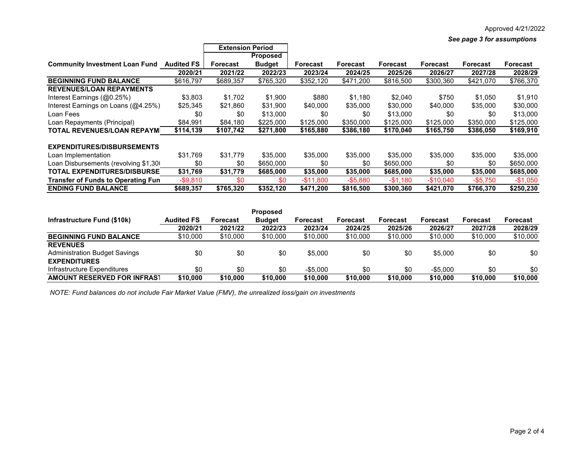*See page 3 for assumptions*

|                                           |                   | <b>Extension Period</b> |                 |                 |           |                 |            |                 |                 |
|-------------------------------------------|-------------------|-------------------------|-----------------|-----------------|-----------|-----------------|------------|-----------------|-----------------|
|                                           |                   |                         | <b>Proposed</b> |                 |           |                 |            |                 |                 |
| <b>Community Investment Loan Fund</b>     | <b>Audited FS</b> | <b>Forecast</b>         | <b>Budget</b>   | <b>Forecast</b> | Forecast  | <b>Forecast</b> | Forecast   | <b>Forecast</b> | <b>Forecast</b> |
|                                           | 2020/21           | 2021/22                 | 2022/23         | 2023/24         | 2024/25   | 2025/26         | 2026/27    | 2027/28         | 2028/29         |
| <b>BEGINNING FUND BALANCE</b>             | \$616,797         | \$689,357               | \$765,320       | \$352,120       | \$471,200 | \$816,500       | \$300,360  | \$421,070       | \$766,370       |
| <b>REVENUES/LOAN REPAYMENTS</b>           |                   |                         |                 |                 |           |                 |            |                 |                 |
| Interest Earnings (@0.25%)                | \$3,803           | \$1.702                 | \$1,900         | \$880           | \$1,180   | \$2,040         | \$750      | \$1,050         | \$1,910         |
| Interest Earnings on Loans (@4.25%)       | \$25,345          | \$21,860                | \$31,900        | \$40,000        | \$35,000  | \$30,000        | \$40,000   | \$35,000        | \$30,000        |
| Loan Fees                                 | \$0               | \$0                     | \$13,000        | \$0             | \$0       | \$13,000        | \$0        | \$0             | \$13,000        |
| Loan Repayments (Principal)               | \$84,991          | \$84,180                | \$225,000       | \$125,000       | \$350,000 | \$125,000       | \$125,000  | \$350,000       | \$125,000       |
| TOTAL REVENUES/LOAN REPAYMI               | \$114,139         | \$107,742               | \$271,800       | \$165,880       | \$386,180 | \$170,040       | \$165,750  | \$386,050       | \$169,910       |
| EXPENDITURES/DISBURSEMENTS                |                   |                         |                 |                 |           |                 |            |                 |                 |
| Loan Implementation                       | \$31.769          | \$31.779                | \$35,000        | \$35,000        | \$35,000  | \$35,000        | \$35,000   | \$35,000        | \$35,000        |
| Loan Disbursements (revolving \$1,300)    | \$0               | \$0                     | \$650.000       | \$0             | \$0       | \$650,000       | \$0        | \$0             | \$650,000       |
| <b>TOTAL EXPENDITURES/DISBURSE</b>        | \$31,769          | \$31,779                | \$685,000       | \$35,000        | \$35,000  | \$685,000       | \$35,000   | \$35,000        | \$685,000       |
| <b>Transfer of Funds to Operating Fun</b> | $-$ \$9,810       | \$0                     | \$0             | $-$11,800$      | $-$5,880$ | $-$1,180$       | $-$10,040$ | $-$5,750$       | $-$1,050$       |
| <b>ENDING FUND BALANCE</b>                | \$689,357         | \$765,320               | \$352,120       | \$471,200       | \$816,500 | \$300,360       | \$421,070  | \$766,370       | \$250,230       |

|                                      | <b>Proposed</b>   |          |               |                 |                 |                 |                 |                 |                 |
|--------------------------------------|-------------------|----------|---------------|-----------------|-----------------|-----------------|-----------------|-----------------|-----------------|
| Infrastructure Fund (\$10k)          | <b>Audited FS</b> | Forecast | <b>Budget</b> | <b>Forecast</b> | <b>Forecast</b> | <b>Forecast</b> | <b>Forecast</b> | <b>Forecast</b> | <b>Forecast</b> |
|                                      | 2020/21           | 2021/22  | 2022/23       | 2023/24         | 2024/25         | 2025/26         | 2026/27         | 2027/28         | 2028/29         |
| <b>BEGINNING FUND BALANCE</b>        | \$10,000          | \$10,000 | \$10,000      | \$10,000        | \$10,000        | \$10,000        | \$10,000        | \$10,000        | \$10,000        |
| <b>REVENUES</b>                      |                   |          |               |                 |                 |                 |                 |                 |                 |
| <b>Administration Budget Savings</b> | \$0               | \$0      | \$0           | \$5,000         | \$0             | \$0             | \$5,000         | \$0             | \$0             |
| <b>EXPENDITURES</b>                  |                   |          |               |                 |                 |                 |                 |                 |                 |
| Infrastructure Expenditures          | \$0               | \$0      | \$0           | $-$ \$5.000     | \$0             | \$0             | $-$ \$5.000     | \$0             | \$0             |
| <b>AMOUNT RESERVED FOR INFRAST</b>   | \$10,000          | \$10.000 | \$10.000      | \$10,000        | \$10,000        | \$10,000        | \$10,000        | \$10,000        | \$10,000        |

 *NOTE: Fund balances do not include Fair Market Value (FMV), the unrealized loss/gain on investments*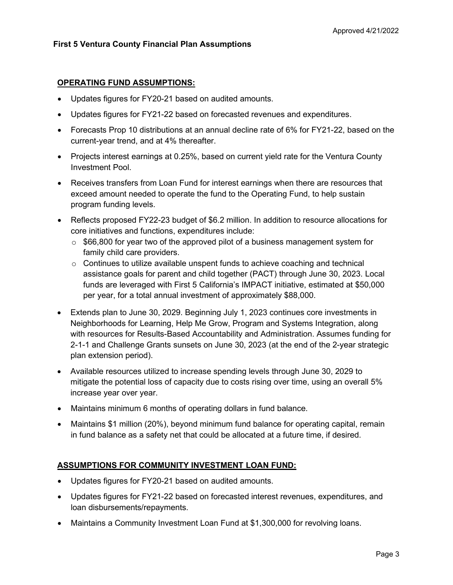### **OPERATING FUND ASSUMPTIONS:**

- Updates figures for FY20-21 based on audited amounts.
- Updates figures for FY21-22 based on forecasted revenues and expenditures.
- Forecasts Prop 10 distributions at an annual decline rate of 6% for FY21-22, based on the current-year trend, and at 4% thereafter.
- Projects interest earnings at 0.25%, based on current yield rate for the Ventura County Investment Pool.
- Receives transfers from Loan Fund for interest earnings when there are resources that exceed amount needed to operate the fund to the Operating Fund, to help sustain program funding levels.
- Reflects proposed FY22-23 budget of \$6.2 million. In addition to resource allocations for core initiatives and functions, expenditures include:
	- $\circ$  \$66,800 for year two of the approved pilot of a business management system for family child care providers.
	- $\circ$  Continues to utilize available unspent funds to achieve coaching and technical assistance goals for parent and child together (PACT) through June 30, 2023. Local funds are leveraged with First 5 California's IMPACT initiative, estimated at \$50,000 per year, for a total annual investment of approximately \$88,000.
- Extends plan to June 30, 2029. Beginning July 1, 2023 continues core investments in Neighborhoods for Learning, Help Me Grow, Program and Systems Integration, along with resources for Results-Based Accountability and Administration. Assumes funding for 2-1-1 and Challenge Grants sunsets on June 30, 2023 (at the end of the 2-year strategic plan extension period).
- Available resources utilized to increase spending levels through June 30, 2029 to mitigate the potential loss of capacity due to costs rising over time, using an overall 5% increase year over year.
- Maintains minimum 6 months of operating dollars in fund balance.
- Maintains \$1 million (20%), beyond minimum fund balance for operating capital, remain in fund balance as a safety net that could be allocated at a future time, if desired.

### **ASSUMPTIONS FOR COMMUNITY INVESTMENT LOAN FUND:**

- Updates figures for FY20-21 based on audited amounts.
- Updates figures for FY21-22 based on forecasted interest revenues, expenditures, and loan disbursements/repayments.
- Maintains a Community Investment Loan Fund at \$1,300,000 for revolving loans.